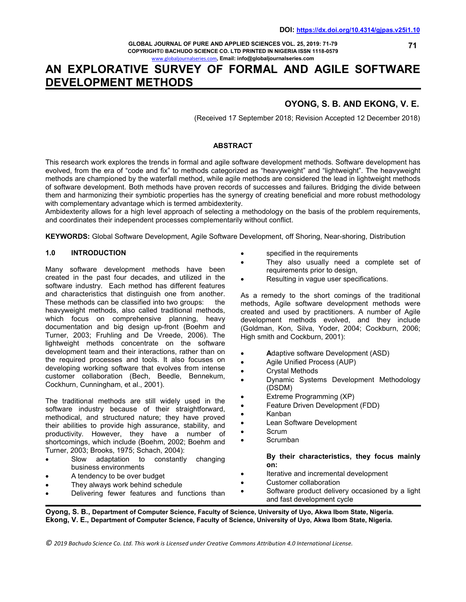**71**

**GLOBAL JOURNAL OF PURE AND APPLIED SCIENCES VOL. 25, 2019: 71-79 COPYRIGHT© BACHUDO SCIENCE CO. LTD PRINTED IN NIGERIA ISSN 1118-0579**  www.globaljournalseries.com**, Email: info@globaljournalseries.com**

# **AN EXPLORATIVE SURVEY OF FORMAL AND AGILE SOFTWARE DEVELOPMENT METHODS**

# **OYONG, S. B. AND EKONG, V. E.**

(Received 17 September 2018; Revision Accepted 12 December 2018)

#### **ABSTRACT**

This research work explores the trends in formal and agile software development methods. Software development has evolved, from the era of "code and fix" to methods categorized as "heavyweight" and "lightweight". The heavyweight methods are championed by the waterfall method, while agile methods are considered the lead in lightweight methods of software development. Both methods have proven records of successes and failures. Bridging the divide between them and harmonizing their symbiotic properties has the synergy of creating beneficial and more robust methodology with complementary advantage which is termed ambidexterity.

Ambidexterity allows for a high level approach of selecting a methodology on the basis of the problem requirements, and coordinates their independent processes complementarily without conflict.

**KEYWORDS:** Global Software Development, Agile Software Development, off Shoring, Near-shoring, Distribution

#### **1.0 INTRODUCTION**

Many software development methods have been created in the past four decades, and utilized in the software industry. Each method has different features and characteristics that distinguish one from another. These methods can be classified into two groups: the heavyweight methods, also called traditional methods, which focus on comprehensive planning, heavy documentation and big design up-front (Boehm and Turner, 2003; Fruhling and De Vreede, 2006). The lightweight methods concentrate on the software development team and their interactions, rather than on the required processes and tools. It also focuses on developing working software that evolves from intense customer collaboration (Bech, Beedle, Bennekum, Cockhurn, Cunningham, et al., 2001).

The traditional methods are still widely used in the software industry because of their straightforward, methodical, and structured nature; they have proved their abilities to provide high assurance, stability, and productivity. However, they have a number of shortcomings, which include (Boehm, 2002; Boehm and Turner, 2003; Brooks, 1975; Schach, 2004):

- Slow adaptation to constantly changing business environments
- A tendency to be over budget

 $\overline{a}$ 

- They always work behind schedule
- Delivering fewer features and functions than
- specified in the requirements
- They also usually need a complete set of requirements prior to design,
- Resulting in vague user specifications.

As a remedy to the short comings of the traditional methods, Agile software development methods were created and used by practitioners. A number of Agile development methods evolved, and they include (Goldman, Kon, Silva, Yoder, 2004; Cockburn, 2006; High smith and Cockburn, 2001):

- **A**daptive software Development (ASD)
- Agile Unified Process (AUP)
- Crystal Methods
- Dynamic Systems Development Methodology (DSDM)
- Extreme Programming (XP)
- Feature Driven Development (FDD)
- Kanban
- Lean Software Development
- Scrum
- Scrumban

**By their characteristics, they focus mainly on:** 

- Iterative and incremental development
- Customer collaboration
- Software product delivery occasioned by a light and fast development cycle

**Oyong, S. B., Department of Computer Science, Faculty of Science, University of Uyo, Akwa Ibom State, Nigeria. Ekong, V. E., Department of Computer Science, Faculty of Science, University of Uyo, Akwa Ibom State, Nigeria.** 

*© 2019 Bachudo Science Co. Ltd. This work is Licensed under Creative Commons Attribution 4.0 International License.*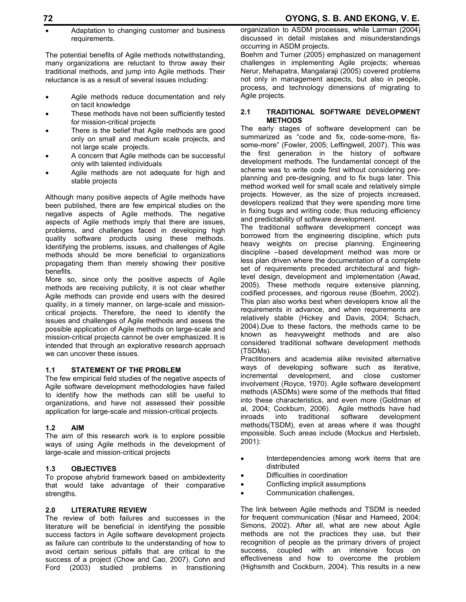• Adaptation to changing customer and business requirements.

The potential benefits of Agile methods notwithstanding, many organizations are reluctant to throw away their traditional methods, and jump into Agile methods. Their reluctance is as a result of several issues including:

- Agile methods reduce documentation and rely on tacit knowledge
- These methods have not been sufficiently tested for mission-critical projects
- There is the belief that Agile methods are good only on small and medium scale projects, and not large scale projects.
- A concern that Agile methods can be successful only with talented individuals
- Agile methods are not adequate for high and stable projects

Although many positive aspects of Agile methods have been published, there are few empirical studies on the negative aspects of Agile methods. The negative aspects of Agile methods imply that there are issues, problems, and challenges faced in developing high quality software products using these methods. Identifying the problems, issues, and challenges of Agile methods should be more beneficial to organizations propagating them than merely showing their positive benefits.

More so, since only the positive aspects of Agile methods are receiving publicity, it is not clear whether Agile methods can provide end users with the desired quality, in a timely manner, on large-scale and missioncritical projects. Therefore, the need to identify the issues and challenges of Agile methods and assess the possible application of Agile methods on large-scale and mission-critical projects cannot be over emphasized. It is intended that through an explorative research approach we can uncover these issues.

# **1.1 STATEMENT OF THE PROBLEM**

The few empirical field studies of the negative aspects of Agile software development methodologies have failed to identify how the methods can still be useful to organizations, and have not assessed their possible application for large-scale and mission-critical projects.

# **1.2 AIM**

The aim of this research work is to explore possible ways of using Agile methods in the development of large-scale and mission-critical projects

# **1.3 OBJECTIVES**

To propose ahybrid framework based on ambidexterity that would take advantage of their comparative strengths.

# **2.0 LITERATURE REVIEW**

The review of both failures and successes in the literature will be beneficial in identifying the possible success factors in Agile software development projects as failure can contribute to the understanding of how to avoid certain serious pitfalls that are critical to the success of a project (Chow and Cao, 2007). Cohn and Ford (2003) studied problems in transitioning

organization to ASDM processes, while Larman (2004) discussed in detail mistakes and misunderstandings occurring in ASDM projects.

Boehm and Turner (2005) emphasized on management challenges in implementing Agile projects; whereas Nerur, Mehapatra, Mangalaraji (2005) covered problems not only in management aspects, but also in people, process, and technology dimensions of migrating to Agile projects.

#### **2.1 TRADITIONAL SOFTWARE DEVELOPMENT METHODS**

The early stages of software development can be summarized as "code and fix, code-some-more, fixsome-more" (Fowler, 2005; Leffingwell, 2007). This was the first generation in the history of software development methods. The fundamental concept of the scheme was to write code first without considering preplanning and pre-designing, and to fix bugs later. This method worked well for small scale and relatively simple projects. However, as the size of projects increased, developers realized that they were spending more time in fixing bugs and writing code; thus reducing efficiency and predictability of software development.

The traditional software development concept was borrowed from the engineering discipline, which puts heavy weights on precise planning. Engineering discipline –based development method was more or less plan driven where the documentation of a complete set of requirements preceded architectural and highlevel design, development and implementation (Awad, 2005). These methods require extensive planning, codified processes, and rigorous reuse (Boehm, 2002). This plan also works best when developers know all the requirements in advance, and when requirements are relatively stable (Hickey and Davis, 2004; Schach, 2004).Due to these factors, the methods came to be known as heavyweight methods and are also considered traditional software development methods (TSDMs).

Practitioners and academia alike revisited alternative ways of developing software such as iterative, incremental development, and close customer involvement (Royce, 1970). Agile software development methods (ASDMs) were some of the methods that fitted into these characteristics, and even more (Goldman et al, 2004; Cockburn, 2006). Agile methods have had inroads into traditional software development methods(TSDM), even at areas where it was thought impossible. Such areas include (Mockus and Herbsleb, 2001):

- Interdependencies among work items that are distributed
- Difficulties in coordination
- Conflicting implicit assumptions
- Communication challenges,

The link between Agile methods and TSDM is needed for frequent communication (Nisar and Hameed, 2004; Simons, 2002). After all, what are new about Agile methods are not the practices they use, but their recognition of people as the primary drivers of project success, coupled with an intensive focus on effectiveness and how to overcome the problem (Highsmith and Cockburn, 2004). This results in a new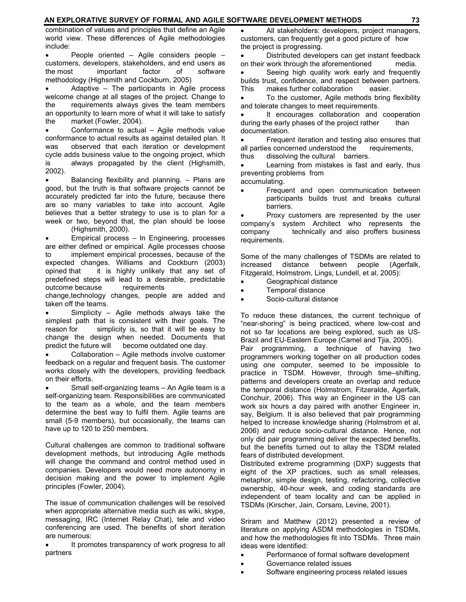combination of values and principles that define an Agile world view. These differences of Agile methodologies include:

• People oriented – Agile considers people – customers, developers, stakeholders, and end users as the most important factor of software methodology (Highsmith and Cockburn, 2005)

Adaptive  $-$  The participants in Agile process welcome change at all stages of the project. Change to the requirements always gives the team members an opportunity to learn more of what it will take to satisfy<br>the market (Fowler, 2004). market (Fowler, 2004).

Conformance to actual  $-$  Agile methods value conformance to actual results as against detailed plan. It was observed that each iteration or development cycle adds business value to the ongoing project, which is always propagated by the client (Highsmith, 2002).

Balancing flexibility and planning. - Plans are good, but the truth is that software projects cannot be accurately predicted far into the future, because there are so many variables to take into account. Agile believes that a better strategy to use is to plan for a week or two, beyond that, the plan should be loose (Highsmith, 2000).

• Empirical process – In Engineering, processes are either defined or empirical. Agile processes choose to implement empirical processes, because of the expected changes. Williams and Cockburn (2003) opined that it is highly unlikely that any set of predefined steps will lead to a desirable, predictable outcome because requirements

change,technology changes, people are added and taken off the teams.

Simplicity – Agile methods always take the simplest path that is consistent with their goals. The reason for simplicity is, so that it will be easy to change the design when needed. Documents that predict the future will become outdated one day.

• Collaboration – Agile methods involve customer feedback on a regular and frequent basis. The customer works closely with the developers, providing feedback on their efforts.

Small self-organizing teams - An Agile team is a self-organizing team. Responsibilities are communicated to the team as a whole, and the team members determine the best way to fulfil them. Agile teams are small (5-9 members), but occasionally, the teams can have up to 120 to 250 members.

Cultural challenges are common to traditional software development methods, but introducing Agile methods will change the command and control method used in companies. Developers would need more autonomy in decision making and the power to implement Agile principles (Fowler, 2004).

The issue of communication challenges will be resolved when appropriate alternative media such as wiki, skype, messaging, IRC (Internet Relay Chat), tele and video conferencing are used. The benefits of short iteration are numerous:

It promotes transparency of work progress to all partners

• All stakeholders: developers, project managers, customers, can frequently get a good picture of how the project is progressing.

Distributed developers can get instant feedback on their work through the aforementioned media.

Seeing high quality work early and frequently builds trust, confidence, and respect between partners. This makes further collaboration easier.

To the customer, Agile methods bring flexibility and tolerate changes to meet requirements.

It encourages collaboration and cooperation during the early phases of the project rather than documentation.

• Frequent iteration and testing also ensures that all parties concerned understood the requirements, thus dissolving the cultural barriers.

• Learning from mistakes is fast and early, thus preventing problems from

accumulating.

• Frequent and open communication between participants builds trust and breaks cultural barriers.

Proxy customers are represented by the user company's system Architect who represents the company technically and also proffers business requirements.

Some of the many challenges of TSDMs are related to increased distance between people (Agerfalk, Fitzgerald, Holmstrom, Lings, Lundell, et al, 2005):

- Geographical distance
- Temporal distance
- Socio-cultural distance

To reduce these distances, the current technique of "near-shoring" is being practiced, where low-cost and not so far locations are being explored, such as US-Brazil and EU-Eastern Europe (Camel and Tjia, 2005).

Pair programming, a technique of having two programmers working together on all production codes using one computer, seemed to be impossible to practice in TSDM. However, through time–shifting, patterns and developers create an overlap and reduce the temporal distance (Holmstrom, Fitzeralde, Agerfalk, Conchuir, 2006). This way an Engineer in the US can work six hours a day paired with another Engineer in, say, Belgium. It is also believed that pair programming helped to increase knowledge sharing (Holmstrom et al, 2006) and reduce socio-cultural distance. Hence, not only did pair programming deliver the expected benefits, but the benefits turned out to allay the TSDM related fears of distributed development.

Distributed extreme programming (DXP) suggests that eight of the XP practices, such as small releases, metaphor, simple design, testing, refactoring, collective ownership, 40-hour week, and coding standards are independent of team locality and can be applied in TSDMs (Kirscher, Jain, Corsaro, Levine, 2001).

Sriram and Matthew (2012) presented a review of literature on applying ASDM methodologies in TSDMs, and how the methodologies fit into TSDMs. Three main ideas were identified:

- Performance of formal software development
- Governance related issues
- Software engineering process related issues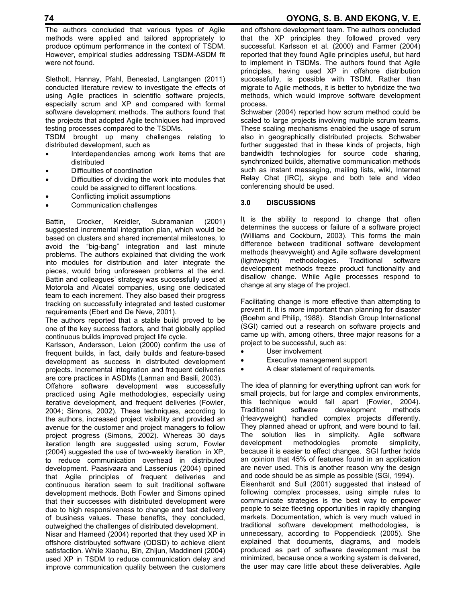The authors concluded that various types of Agile methods were applied and tailored appropriately to produce optimum performance in the context of TSDM. However, empirical studies addressing TSDM-ASDM fit were not found.

Sletholt, Hannay, Pfahl, Benestad, Langtangen (2011) conducted literature review to investigate the effects of using Agile practices in scientific software projects, especially scrum and XP and compared with formal software development methods. The authors found that the projects that adopted Agile techniques had improved testing processes compared to the TSDMs.

TSDM brought up many challenges relating to distributed development, such as

- Interdependencies among work items that are distributed
- Difficulties of coordination
- Difficulties of dividing the work into modules that could be assigned to different locations.
- Conflicting implicit assumptions
- Communication challenges

Battin, Crocker, Kreidler, Subramanian (2001) suggested incremental integration plan, which would be based on clusters and shared incremental milestones, to avoid the "big-bang" integration and last minute problems. The authors explained that dividing the work into modules for distribution and later integrate the pieces, would bring unforeseen problems at the end. Battin and colleagues' strategy was successfully used at Motorola and Alcatel companies, using one dedicated team to each increment. They also based their progress tracking on successfully integrated and tested customer requirements (Ebert and De Neve, 2001).

The authors reported that a stable build proved to be one of the key success factors, and that globally applied continuous builds improved project life cycle.

Karlsson, Andersson, Leion (2000) confirm the use of frequent builds, in fact, daily builds and feature-based development as success in distributed development projects. Incremental integration and frequent deliveries are core practices in ASDMs (Larman and Basili, 2003).

Offshore software development was successfully practiced using Agile methodologies, especially using iterative development, and frequent deliveries (Fowler, 2004; Simons, 2002). These techniques, according to the authors, increased project visibility and provided an avenue for the customer and project managers to follow project progress (Simons, 2002). Whereas 30 days iteration length are suggested using scrum, Fowler (2004) suggested the use of two-weekly iteration in XP, to reduce communication overhead in distributed development. Paasivaara and Lassenius (2004) opined that Agile principles of frequent deliveries and continuous iteration seem to suit traditional software development methods. Both Fowler and Simons opined that their successes with distributed development were due to high responsiveness to change and fast delivery of business values. These benefits, they concluded, outweighed the challenges of distributed development.

Nisar and Hameed (2004) reported that they used XP in offshore distribuyted software (ODSD) to achieve client satisfaction. While Xiaohu, Bin, Zhijun, Maddineni (2004) used XP in TSDM to reduce communication delay and improve communication quality between the customers

and offshore development team. The authors concluded that the XP principles they followed proved very successful. Karlsson et al. (2000) and Farmer (2004) reported that they found Agile principles useful, but hard to implement in TSDMs. The authors found that Agile principles, having used XP in offshore distribution successfully, is possible with TSDM. Rather than migrate to Agile methods, it is better to hybridize the two methods, which would improve software development process.

Schwaber (2004) reported how scrum method could be scaled to large projects involving multiple scrum teams. These scaling mechanisms enabled the usage of scrum also in geographically distributed projects. Schwaber further suggested that in these kinds of projects, high bandwidth technologies for source code sharing, synchronized builds, alternative communication methods such as instant messaging, mailing lists, wiki, Internet Relay Chat (IRC), skype and both tele and video conferencing should be used.

#### **3.0 DISCUSSIONS**

It is the ability to respond to change that often determines the success or failure of a software project (Williams and Cockburn, 2003). This forms the main difference between traditional software development methods (heavyweight) and Agile software development (lightweight) methodologies. Traditional software development methods freeze product functionality and disallow change. While Agile processes respond to change at any stage of the project.

Facilitating change is more effective than attempting to prevent it. It is more important than planning for disaster (Boehm and Philip, 1988). Standish Group International (SGI) carried out a research on software projects and came up with, among others, three major reasons for a project to be successful, such as:

- User involvement
- Executive management support
- A clear statement of requirements.

The idea of planning for everything upfront can work for small projects, but for large and complex environments, this technique would fall apart (Fowler, 2004). Traditional software development methods (Heavyweight) handled complex projects differently. They planned ahead or upfront, and were bound to fail. The solution lies in simplicity. Agile software development methodologies promote simplicity, because it is easier to effect changes. SGI further holds an opinion that 45% of features found in an application are never used. This is another reason why the design and code should be as simple as possible (SGI, 1994). Eisenhardt and Sull (2001) suggested that instead of following complex processes, using simple rules to communicate strategies is the best way to empower people to seize fleeting opportunities in rapidly changing markets. Documentation, which is very much valued in traditional software development methodologies, is unnecessary, according to Poppendieck (2005). She explained that documents, diagrams, and models produced as part of software development must be minimized, because once a working system is delivered, the user may care little about these deliverables. Agile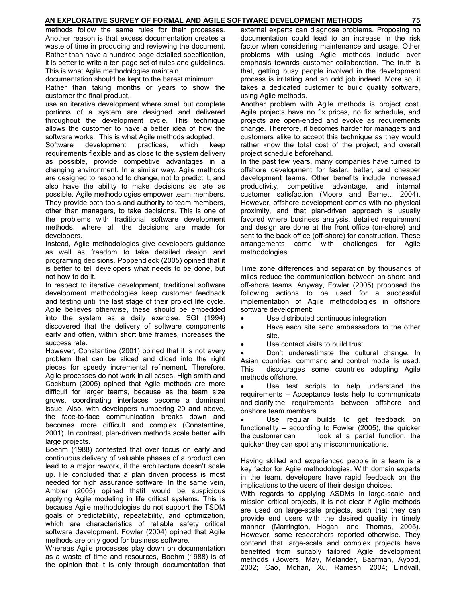methods follow the same rules for their processes. Another reason is that excess documentation creates a waste of time in producing and reviewing the document. Rather than have a hundred page detailed specification, it is better to write a ten page set of rules and guidelines. This is what Agile methodologies maintain,

documentation should be kept to the barest minimum.

Rather than taking months or years to show the customer the final product,

use an iterative development where small but complete portions of a system are designed and delivered throughout the development cycle. This technique allows the customer to have a better idea of how the software works. This is what Agile methods adopted.

Software development practices, which keep requirements flexible and as close to the system delivery as possible, provide competitive advantages in a changing environment. In a similar way, Agile methods are designed to respond to change, not to predict it, and also have the ability to make decisions as late as possible. Agile methodologies empower team members. They provide both tools and authority to team members, other than managers, to take decisions. This is one of the problems with traditional software development methods, where all the decisions are made for developers.

Instead, Agile methodologies give developers guidance as well as freedom to take detailed design and programing decisions. Poppendieck (2005) opined that it is better to tell developers what needs to be done, but not how to do it.

In respect to iterative development, traditional software development methodologies keep customer feedback and testing until the last stage of their project life cycle. Agile believes otherwise, these should be embedded into the system as a daily exercise. SGI (1994) discovered that the delivery of software components early and often, within short time frames, increases the success rate.

However, Constantine (2001) opined that it is not every problem that can be sliced and diced into the right pieces for speedy incremental refinement. Therefore, Agile processes do not work in all cases. High smith and Cockburn (2005) opined that Agile methods are more difficult for larger teams, because as the team size grows, coordinating interfaces become a dominant issue. Also, with developers numbering 20 and above, the face-to-face communication breaks down and becomes more difficult and complex (Constantine, 2001). In contrast, plan-driven methods scale better with large projects.

Boehm (1988) contested that over focus on early and continuous delivery of valuable phases of a product can lead to a major rework, if the architecture doesn't scale up. He concluded that a plan driven process is most needed for high assurance software. In the same vein, Ambler (2005) opined thatit would be suspicious applying Agile modeling in life critical systems. This is because Agile methodologies do not support the TSDM goals of predictability, repeatability, and optimization, which are characteristics of reliable safety critical software development. Fowler (2004) opined that Agile methods are only good for business software.

Whereas Agile processes play down on documentation as a waste of time and resources, Boehm (1988) is of the opinion that it is only through documentation that external experts can diagnose problems. Proposing no documentation could lead to an increase in the risk factor when considering maintenance and usage. Other problems with using Agile methods include over emphasis towards customer collaboration. The truth is that, getting busy people involved in the development process is irritating and an odd job indeed. More so, it takes a dedicated customer to build quality software, using Agile methods.

Another problem with Agile methods is project cost. Agile projects have no fix prices, no fix schedule, and projects are open-ended and evolve as requirements change. Therefore, it becomes harder for managers and customers alike to accept this technique as they would rather know the total cost of the project, and overall project schedule beforehand.

In the past few years, many companies have turned to offshore development for faster, better, and cheaper development teams. Other benefits include increased productivity, competitive advantage, and internal customer satisfaction (Moore and Barnett, 2004). However, offshore development comes with no physical proximity, and that plan-driven approach is usually favored where business analysis, detailed requirement and design are done at the front office (on-shore) and sent to the back office (off-shore) for construction. These arrangements come with challenges for Agile methodologies.

Time zone differences and separation by thousands of miles reduce the communication between on-shore and off-shore teams. Anyway, Fowler (2005) proposed the following actions to be used for a successful implementation of Agile methodologies in offshore software development:

- Use distributed continuous integration
- Have each site send ambassadors to the other site.
- Use contact visits to build trust.

• Don't underestimate the cultural change. In Asian countries, command and control model is used. This discourages some countries adopting Agile methods offshore.

• Use test scripts to help understand the requirements – Acceptance tests help to communicate and clarify the requirements between offshore and onshore team members.

Use regular builds to get feedback on functionality – according to Fowler (2005), the quicker the customer can look at a partial function, the quicker they can spot any miscommunications.

Having skilled and experienced people in a team is a key factor for Agile methodologies. With domain experts in the team, developers have rapid feedback on the implications to the users of their design choices.

With regards to applying ASDMs in large-scale and mission critical projects, it is not clear if Agile methods are used on large-scale projects, such that they can provide end users with the desired quality in timely manner (Marrington, Hogan, and Thomas, 2005). However, some researchers reported otherwise. They contend that large-scale and complex projects have benefited from suitably tailored Agile development methods (Bowers, May, Melander, Baarman, Ayood, 2002; Cao, Mohan, Xu, Ramesh, 2004; Lindvall,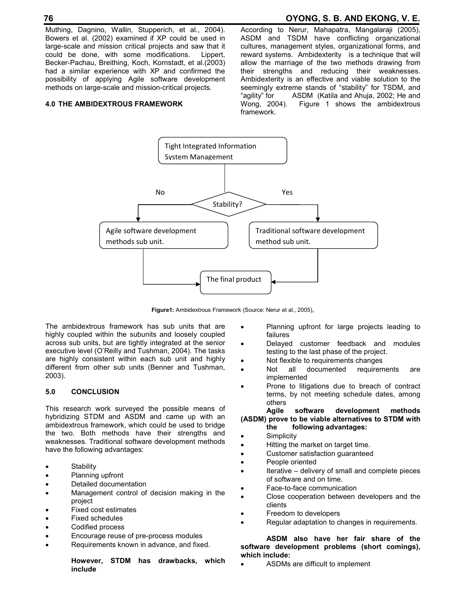# **76 OYONG, S. B. AND EKONG, V. E.**

Muthing, Dagnino, Wallin, Stupperich, et al., 2004). Bowers et al. (2002) examined if XP could be used in large-scale and mission critical projects and saw that it could be done, with some modifications. Lippert, Becker-Pachau, Breithing, Koch, Kornstadt, et al.(2003) had a similar experience with XP and confirmed the possibility of applying Agile software development methods on large-scale and mission-critical projects.

# **4.0 THE AMBIDEXTROUS FRAMEWORK**

According to Nerur, Mahapatra, Mangalaraji (2005), ASDM and TSDM have conflicting organizational cultures, management styles, organizational forms, and reward systems. Ambidexterity is a technique that will allow the marriage of the two methods drawing from their strengths and reducing their weaknesses. Ambidexterity is an effective and viable solution to the seemingly extreme stands of "stability" for TSDM, and "agility" for ASDM (Katila and Ahuja, 2002; He and Figure 1 shows the ambidextrous framework.



**Figure1:** Ambidextrous Framework (Source: Nerur et al., 2005),

The ambidextrous framework has sub units that are highly coupled within the subunits and loosely coupled across sub units, but are tightly integrated at the senior executive level (O'Reilly and Tushman, 2004). The tasks are highly consistent within each sub unit and highly different from other sub units (Benner and Tushman, 2003).

# **5.0 CONCLUSION**

This research work surveyed the possible means of hybridizing STDM and ASDM and came up with an ambidextrous framework, which could be used to bridge the two. Both methods have their strengths and weaknesses. Traditional software development methods have the following advantages:

- **Stability**
- Planning upfront
- Detailed documentation
- Management control of decision making in the project
- Fixed cost estimates
- Fixed schedules
- Codified process
- Encourage reuse of pre-process modules
- Requirements known in advance, and fixed.

 **However, STDM has drawbacks, which include** 

- Planning upfront for large projects leading to failures
- Delayed customer feedback and modules testing to the last phase of the project.
- Not flexible to requirements changes
- Not all documented requirements are implemented
- Prone to litigations due to breach of contract terms, by not meeting schedule dates, among others

 **Agile software development methods (ASDM) prove to be viable alternatives to STDM with the following advantages:** 

- 
- **Simplicity**
- Hitting the market on target time.
- Customer satisfaction guaranteed
- People oriented
- Iterative delivery of small and complete pieces of software and on time.
- Face-to-face communication
- Close cooperation between developers and the clients
- Freedom to developers
- Regular adaptation to changes in requirements.

**ASDM also have her fair share of the software development problems (short comings), which include:** 

• ASDMs are difficult to implement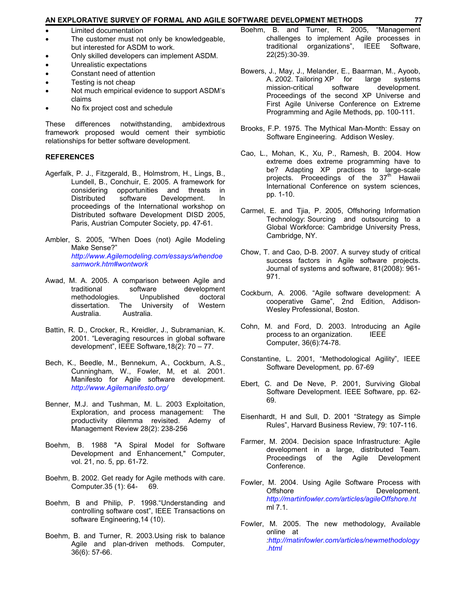- Limited documentation
- The customer must not only be knowledgeable, but interested for ASDM to work.
- Only skilled developers can implement ASDM.
- Unrealistic expectations
- Constant need of attention
- Testing is not cheap
- Not much empirical evidence to support ASDM's claims
- No fix project cost and schedule

These differences notwithstanding, ambidextrous framework proposed would cement their symbiotic relationships for better software development.

#### **REFERENCES**

- Agerfalk, P. J., Fitzgerald, B., Holmstrom, H., Lings, B., Lundell, B., Conchuir, E. 2005. A framework for considering opportunities and threats in Distributed software Development. In proceedings of the International workshop on Distributed software Development DISD 2005, Paris, Austrian Computer Society, pp. 47-61.
- Ambler, S. 2005, "When Does (not) Agile Modeling Make Sense?" *http://www.Agilemodeling.com/essays/whendoe samwork.htm#wontwork*
- Awad, M. A. 2005. A comparison between Agile and traditional software development methodologies. Unpublished doctoral dissertation. The University of Western Australia. Australia.
- Battin, R. D., Crocker, R., Kreidler, J., Subramanian, K. 2001. "Leveraging resources in global software development", IEEE Software,18(2): 70 – 77.
- Bech, K., Beedle, M., Bennekum, A., Cockburn, A.S., Cunningham, W., Fowler, M, et al. 2001. Manifesto for Agile software development. *http://www.Agilemanifesto.org/*
- Benner, M.J. and Tushman, M. L. 2003 Exploitation, Exploration, and process management: The productivity dilemma revisited. Ademy of Management Review 28(2): 238-256
- Boehm, B. 1988 "A Spiral Model for Software Development and Enhancement," Computer, vol. 21, no. 5, pp. 61-72.
- Boehm, B. 2002. Get ready for Agile methods with care. Computer.35 (1): 64- 69.
- Boehm, B and Philip, P. 1998."Understanding and controlling software cost", IEEE Transactions on software Engineering,14 (10).
- Boehm, B. and Turner, R. 2003.Using risk to balance Agile and plan-driven methods. Computer, 36(6): 57-66.
- Boehm, B. and Turner, R. 2005, "Management challenges to implement Agile processes in traditional organizations", IEEE Software, 22(25):30-39.
- Bowers, J., May, J., Melander, E., Baarman, M., Ayoob, A. 2002. Tailoring XP for large systems mission-critical software Proceedings of the second XP Universe and First Agile Universe Conference on Extreme Programming and Agile Methods, pp. 100-111.
- Brooks, F.P. 1975. The Mythical Man-Month: Essay on Software Engineering. Addison Wesley.
- Cao, L., Mohan, K., Xu, P., Ramesh, B. 2004. How extreme does extreme programming have to be? Adapting XP practices to large-scale projects. Proceedings of the 37<sup>th</sup> Hawaii International Conference on system sciences, pp. 1-10.
- Carmel, E. and Tjia, P. 2005, Offshoring Information Technology: Sourcing and outsourcing to a Global Workforce: Cambridge University Press, Cambridge, NY.
- Chow, T. and Cao, D-B. 2007. A survey study of critical success factors in Agile software projects. Journal of systems and software, 81(2008): 961- 971.
- Cockburn, A. 2006. "Agile software development: A cooperative Game", 2nd Edition, Addison- Wesley Professional, Boston.
- Cohn, M. and Ford, D. 2003. Introducing an Agile process to an organization. IEEE Computer, 36(6):74-78.
- Constantine, L. 2001, "Methodological Agility", IEEE Software Development, pp. 67-69
- Ebert, C. and De Neve, P. 2001, Surviving Global Software Development. IEEE Software, pp. 62- 69.
- Eisenhardt, H and Sull, D. 2001 "Strategy as Simple Rules", Harvard Business Review, 79: 107-116.
- Farmer, M. 2004. Decision space Infrastructure: Agile development in a large, distributed Team. Proceedings of the Agile Development Conference.
- Fowler, M. 2004. Using Agile Software Process with Offshore Development. *http://martinfowler.com/articles/agileOffshore.ht* ml 7.1.
- Fowler, M. 2005. The new methodology, Available online at *:http://matinfowler.com/articles/newmethodology .html*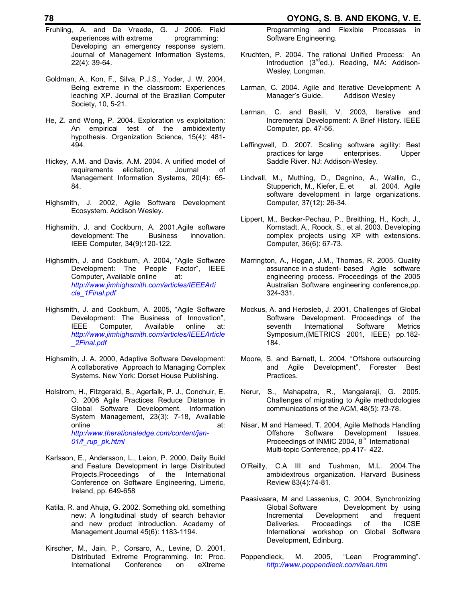- Fruhling, A. and De Vreede, G. J 2006. Field experiences with extreme programming: Developing an emergency response system. Journal of Management Information Systems, 22(4): 39-64.
- Goldman, A., Kon, F., Silva, P.J.S., Yoder, J. W. 2004, Being extreme in the classroom: Experiences leaching XP. Journal of the Brazilian Computer Society, 10, 5-21.
- He, Z. and Wong, P. 2004. Exploration vs exploitation: An empirical test of the ambidexterity hypothesis. Organization Science, 15(4): 481- 494.
- Hickey, A.M. and Davis, A.M. 2004. A unified model of requirements elicitation, Journal of Management Information Systems, 20(4): 65- 84.
- Highsmith, J. 2002, Agile Software Development Ecosystem. Addison Wesley.
- Highsmith, J. and Cockburn, A. 2001.Agile software development: The Business innovation. IEEE Computer, 34(9):120-122.
- Highsmith, J. and Cockburn, A. 2004, "Agile Software Development: The People Factor", IEEE Computer, Available online at: *http://www.jimhighsmith.com/articles/IEEEArti cle\_1Final.pdf*
- Highsmith, J. and Cockburn, A. 2005, "Agile Software Development: The Business of Innovation", IEEE Computer, Available online at: *http://www.jimhighsmith.com/articles/IEEEArticle \_2Final.pdf*
- Highsmith, J. A. 2000, Adaptive Software Development: A collaborative Approach to Managing Complex Systems. New York: Dorset House Publishing.
- Holstrom, H., Fitzgerald, B., Agerfalk, P. J., Conchuir, E. O. 2006 Agile Practices Reduce Distance in Global Software Development. Information System Management, 23(3): 7-18, Available online at: *http:/www.therationaledge.com/content/jan- 01/f\_rup\_pk.html*
- Karlsson, E., Andersson, L., Leion, P. 2000, Daily Build and Feature Development in large Distributed Projects.Proceedings of the International Conference on Software Engineering, Limeric, Ireland, pp. 649-658
- Katila, R. and Ahuja, G. 2002. Something old, something new: A longitudinal study of search behavior and new product introduction. Academy of Management Journal 45(6): 1183-1194.
- Kirscher, M., Jain, P., Corsaro, A., Levine, D. 2001, Distributed Extreme Programming. In: Proc. International Conference on eXtreme

Programming and Flexible Processes Software Engineering.

- Kruchten, P. 2004. The rational Unified Process: An Introduction  $(3<sup>rd</sup>ed.)$ . Reading, MA: Addison-Wesley, Longman.
- Larman, C. 2004. Agile and Iterative Development: A Manager's Guide. Addison Wesley
- Larman, C. and Basili, V. 2003, Iterative and Incremental Development: A Brief History. IEEE Computer, pp. 47-56.
- Leffingwell, D. 2007. Scaling software agility: Best practices for large enterprises. Upper Saddle River. NJ: Addison-Wesley.
- Lindvall, M., Muthing, D., Dagnino, A., Wallin, C., Stupperich, M., Kiefer, E, et al. 2004. Agile software development in large organizations. Computer, 37(12): 26-34.
- Lippert, M., Becker-Pechau, P., Breithing, H., Koch, J., Kornstadt, A., Roock, S., et al. 2003. Developing complex projects using XP with extensions. Computer, 36(6): 67-73.
- Marrington, A., Hogan, J.M., Thomas, R. 2005. Quality assurance in a student- based Agile software engineering process. Proceedings of the 2005 Australian Software engineering conference,pp. 324-331.
- Mockus, A. and Herbsleb, J. 2001, Challenges of Global Software Development. Proceedings of the seventh International Software Metrics Symposium,(METRICS 2001, IEEE) pp.182- 184.
- Moore, S. and Barnett, L. 2004, "Offshore outsourcing and Agile Development", Forester Best Practices.
- Nerur, S., Mahapatra, R., Mangalaraji, G. 2005. Challenges of migrating to Agile methodologies communications of the ACM, 48(5): 73-78.
- Nisar, M and Hameed, T. 2004, Agile Methods Handling Offshore Software Development Issues. Proceedings of INMIC 2004, 8<sup>th</sup> International Multi-topic Conference, pp.417- 422.
- O'Reilly, C.A III and Tushman, M.L. 2004.The ambidextrous organization. Harvard Business Review 83(4):74-81.
- Paasivaara, M and Lassenius, C. 2004, Synchronizing Global Software Development by using Incremental Development and frequent Deliveries. Proceedings of the ICSE International workshop on Global Software Development, Edinburg.
- Poppendieck, M. 2005, "Lean Programming". *http://www.poppendieck.com/lean.htm*